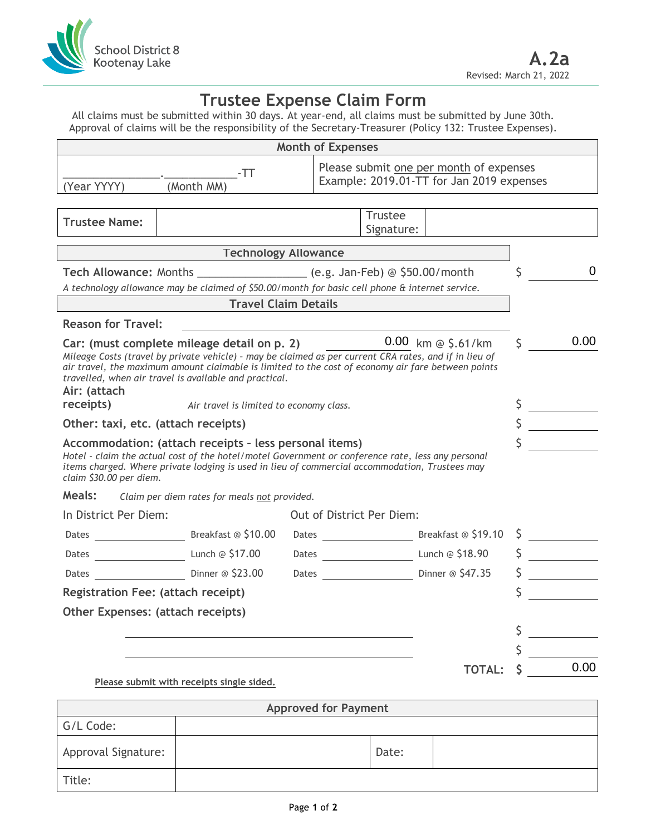

## **Trustee Expense Claim Form**

All claims must be submitted within 30 days. At year-end, all claims must be submitted by June 30th. Approval of claims will be the responsibility of the Secretary-Treasurer (Policy 132: Trustee Expenses).

|                                                                                                                                                                                                                                                                                                                                                    |                                              |  | <b>Month of Expenses</b>    |                              |                                                                                      |         |      |
|----------------------------------------------------------------------------------------------------------------------------------------------------------------------------------------------------------------------------------------------------------------------------------------------------------------------------------------------------|----------------------------------------------|--|-----------------------------|------------------------------|--------------------------------------------------------------------------------------|---------|------|
| (Year YYYY)                                                                                                                                                                                                                                                                                                                                        | -TT<br>(Month MM)                            |  |                             |                              | Please submit one per month of expenses<br>Example: 2019.01-TT for Jan 2019 expenses |         |      |
|                                                                                                                                                                                                                                                                                                                                                    |                                              |  |                             |                              |                                                                                      |         |      |
| <b>Trustee Name:</b>                                                                                                                                                                                                                                                                                                                               |                                              |  |                             | <b>Trustee</b><br>Signature: |                                                                                      |         |      |
|                                                                                                                                                                                                                                                                                                                                                    | <b>Technology Allowance</b>                  |  |                             |                              |                                                                                      |         |      |
| Tech Allowance: Months ____________________ (e.g. Jan-Feb) @ \$50.00/month                                                                                                                                                                                                                                                                         |                                              |  |                             |                              |                                                                                      | Ś       | 0    |
| A technology allowance may be claimed of \$50.00/month for basic cell phone & internet service.                                                                                                                                                                                                                                                    |                                              |  |                             |                              |                                                                                      |         |      |
|                                                                                                                                                                                                                                                                                                                                                    | <b>Travel Claim Details</b>                  |  |                             |                              |                                                                                      |         |      |
| <b>Reason for Travel:</b>                                                                                                                                                                                                                                                                                                                          |                                              |  |                             |                              |                                                                                      |         |      |
| Car: (must complete mileage detail on p. 2)<br>Mileage Costs (travel by private vehicle) - may be claimed as per current CRA rates, and if in lieu of<br>air travel, the maximum amount claimable is limited to the cost of economy air fare between points<br>travelled, when air travel is available and practical.<br>Air: (attach<br>receipts) | Air travel is limited to economy class.      |  |                             |                              | $0.00$ km @ \$.61/km                                                                 | $\zeta$ | 0.00 |
| Other: taxi, etc. (attach receipts)                                                                                                                                                                                                                                                                                                                |                                              |  |                             |                              |                                                                                      | $\zeta$ |      |
| Accommodation: (attach receipts - less personal items)<br>Hotel - claim the actual cost of the hotel/motel Government or conference rate, less any personal<br>items charged. Where private lodging is used in lieu of commercial accommodation, Trustees may<br>claim \$30.00 per diem.                                                           |                                              |  |                             |                              |                                                                                      |         |      |
| Meals:                                                                                                                                                                                                                                                                                                                                             | Claim per diem rates for meals not provided. |  |                             |                              |                                                                                      |         |      |
| In District Per Diem:                                                                                                                                                                                                                                                                                                                              |                                              |  |                             | Out of District Per Diem:    |                                                                                      |         |      |
| Dates Breakfast @ \$10.00                                                                                                                                                                                                                                                                                                                          |                                              |  |                             |                              | Dates Breakfast @ \$19.10                                                            |         |      |
| Dates <b>Lunch @ \$17.00</b>                                                                                                                                                                                                                                                                                                                       |                                              |  |                             |                              | Dates <b>Lunch @ \$18.90</b>                                                         |         |      |
| Dates                                                                                                                                                                                                                                                                                                                                              | Dinner @ \$23.00                             |  |                             |                              |                                                                                      |         |      |
| Registration Fee: (attach receipt)                                                                                                                                                                                                                                                                                                                 |                                              |  |                             |                              |                                                                                      |         |      |
| Other Expenses: (attach receipts)                                                                                                                                                                                                                                                                                                                  |                                              |  |                             |                              |                                                                                      |         |      |
|                                                                                                                                                                                                                                                                                                                                                    |                                              |  |                             |                              |                                                                                      |         |      |
|                                                                                                                                                                                                                                                                                                                                                    |                                              |  |                             |                              |                                                                                      |         |      |
|                                                                                                                                                                                                                                                                                                                                                    | Please submit with receipts single sided.    |  |                             |                              | <b>TOTAL:</b>                                                                        |         | 0.00 |
|                                                                                                                                                                                                                                                                                                                                                    |                                              |  | <b>Approved for Payment</b> |                              |                                                                                      |         |      |
| G/L Code:                                                                                                                                                                                                                                                                                                                                          |                                              |  |                             |                              |                                                                                      |         |      |
| Approval Signature:                                                                                                                                                                                                                                                                                                                                |                                              |  |                             | Date:                        |                                                                                      |         |      |
| Title:                                                                                                                                                                                                                                                                                                                                             |                                              |  |                             |                              |                                                                                      |         |      |